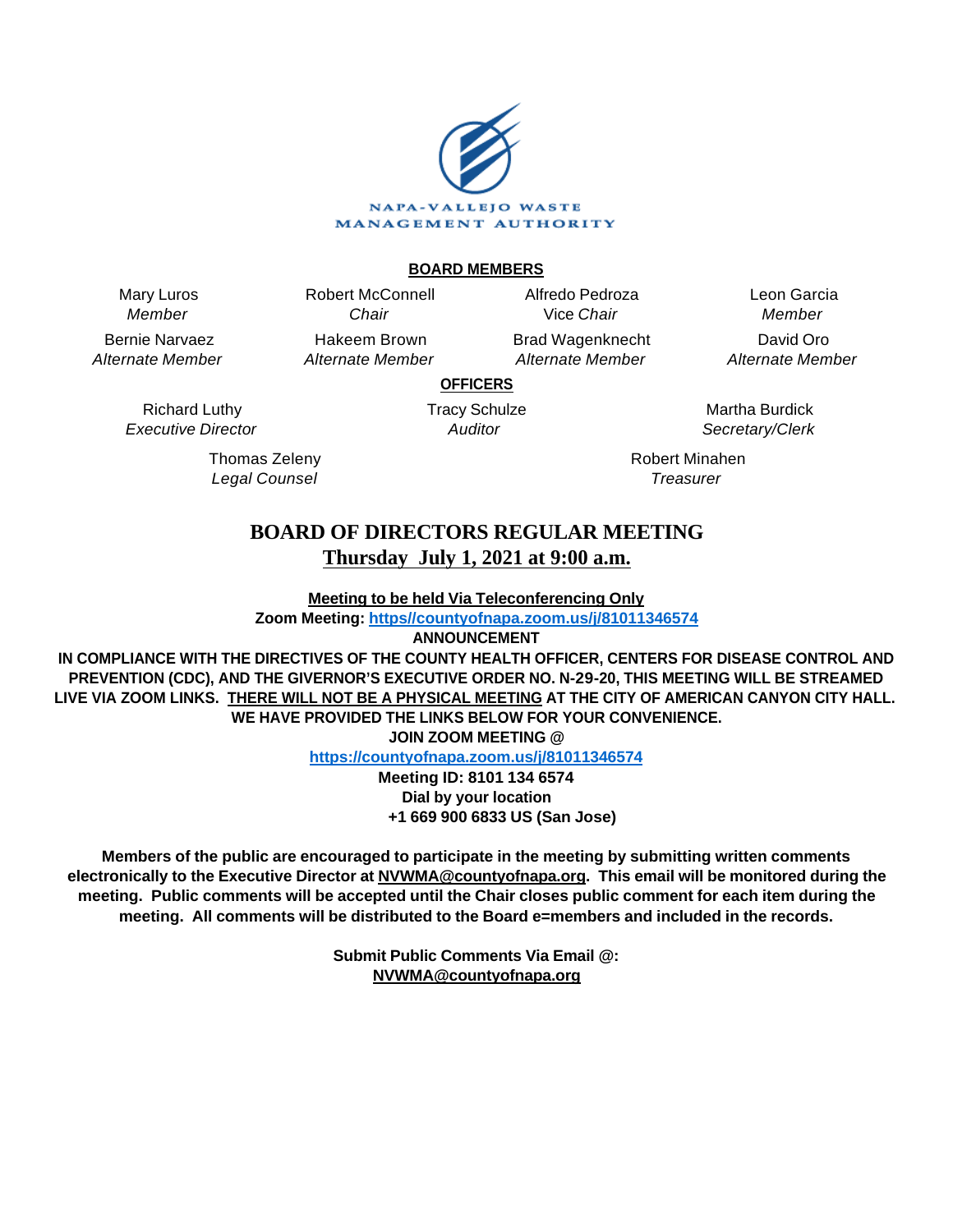

# **BOARD MEMBERS**

Mary Luros Member

Bernie Narvaez Alternate Member

> Richard Luthy Executive Director

> > Thomas Zeleny Legal Counsel

Chair Hakeem Brown Alternate Member

Robert McConnell

Alfredo Pedroza Vice Chair Brad Wagenknecht

Alternate Member

Leon Garcia Member David Oro Alternate Member

**OFFICERS**

Tracy Schulze Auditor

Martha Burdick Secretary/Clerk

Robert Minahen **Treasurer** 

# **BOARD OF DIRECTORS REGULAR MEETING Thursday July 1, 2021 at 9:00 a.m.**

**Meeting to be held Via Teleconferencing Only**

**Zoom Meeting: [https//countyofnapa.zoom.us/j/81011346574](http://intranetprod01/AgendaNet/Reports/https//countyofnapa.zoom.us/j/99111938225)**

**ANNOUNCEMENT**

**IN COMPLIANCE WITH THE DIRECTIVES OF THE COUNTY HEALTH OFFICER, CENTERS FOR DISEASE CONTROL AND PREVENTION (CDC), AND THE GIVERNOR'S EXECUTIVE ORDER NO. N-29-20, THIS MEETING WILL BE STREAMED LIVE VIA ZOOM LINKS. THERE WILL NOT BE A PHYSICAL MEETING AT THE CITY OF AMERICAN CANYON CITY HALL. WE HAVE PROVIDED THE LINKS BELOW FOR YOUR CONVENIENCE.**

**JOIN ZOOM MEETING @**

**<https://countyofnapa.zoom.us/j/81011346574>**

**Meeting ID: 8101 134 6574 Dial by your location +1 669 900 6833 US (San Jose)**

**Members of the public are encouraged to participate in the meeting by submitting written comments electronically to the Executive Director at NVWMA@countyofnapa.org. This email will be monitored during the meeting. Public comments will be accepted until the Chair closes public comment for each item during the meeting. All comments will be distributed to the Board e=members and included in the records.**

> **Submit Public Comments Via Email @: NVWMA@countyofnapa.org**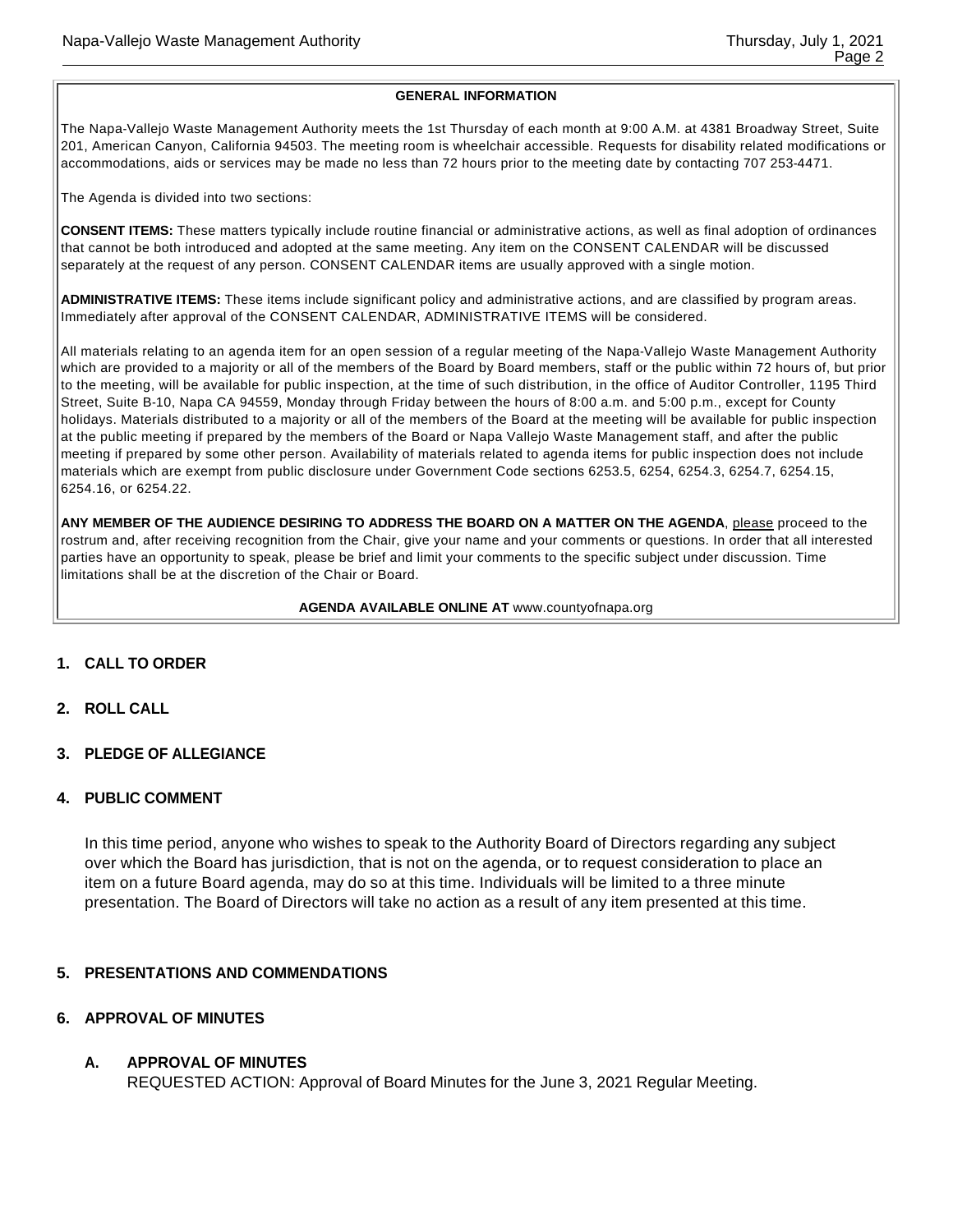#### **GENERAL INFORMATION**

The Napa-Vallejo Waste Management Authority meets the 1st Thursday of each month at 9:00 A.M. at 4381 Broadway Street, Suite 201, American Canyon, California 94503. The meeting room is wheelchair accessible. Requests for disability related modifications or accommodations, aids or services may be made no less than 72 hours prior to the meeting date by contacting 707 253-4471.

The Agenda is divided into two sections:

**CONSENT ITEMS:** These matters typically include routine financial or administrative actions, as well as final adoption of ordinances that cannot be both introduced and adopted at the same meeting. Any item on the CONSENT CALENDAR will be discussed separately at the request of any person. CONSENT CALENDAR items are usually approved with a single motion.

**ADMINISTRATIVE ITEMS:** These items include significant policy and administrative actions, and are classified by program areas. Immediately after approval of the CONSENT CALENDAR, ADMINISTRATIVE ITEMS will be considered.

All materials relating to an agenda item for an open session of a regular meeting of the Napa-Vallejo Waste Management Authority which are provided to a majority or all of the members of the Board by Board members, staff or the public within 72 hours of, but prior to the meeting, will be available for public inspection, at the time of such distribution, in the office of Auditor Controller, 1195 Third Street, Suite B-10, Napa CA 94559, Monday through Friday between the hours of 8:00 a.m. and 5:00 p.m., except for County holidays. Materials distributed to a majority or all of the members of the Board at the meeting will be available for public inspection at the public meeting if prepared by the members of the Board or Napa Vallejo Waste Management staff, and after the public meeting if prepared by some other person. Availability of materials related to agenda items for public inspection does not include materials which are exempt from public disclosure under Government Code sections 6253.5, 6254, 6254.3, 6254.7, 6254.15, 6254.16, or 6254.22.

**ANY MEMBER OF THE AUDIENCE DESIRING TO ADDRESS THE BOARD ON A MATTER ON THE AGENDA**, please proceed to the rostrum and, after receiving recognition from the Chair, give your name and your comments or questions. In order that all interested parties have an opportunity to speak, please be brief and limit your comments to the specific subject under discussion. Time limitations shall be at the discretion of the Chair or Board.

#### **AGENDA AVAILABLE ONLINE AT** www.countyofnapa.org

- **1. CALL TO ORDER**
- **2. ROLL CALL**
- **3. PLEDGE OF ALLEGIANCE**
- **4. PUBLIC COMMENT**

In this time period, anyone who wishes to speak to the Authority Board of Directors regarding any subject over which the Board has jurisdiction, that is not on the agenda, or to request consideration to place an item on a future Board agenda, may do so at this time. Individuals will be limited to a three minute presentation. The Board of Directors will take no action as a result of any item presented at this time.

#### **5. PRESENTATIONS AND COMMENDATIONS**

#### **6. APPROVAL OF MINUTES**

# **A. APPROVAL OF MINUTES**

REQUESTED ACTION: Approval of Board Minutes for the June 3, 2021 Regular Meeting.